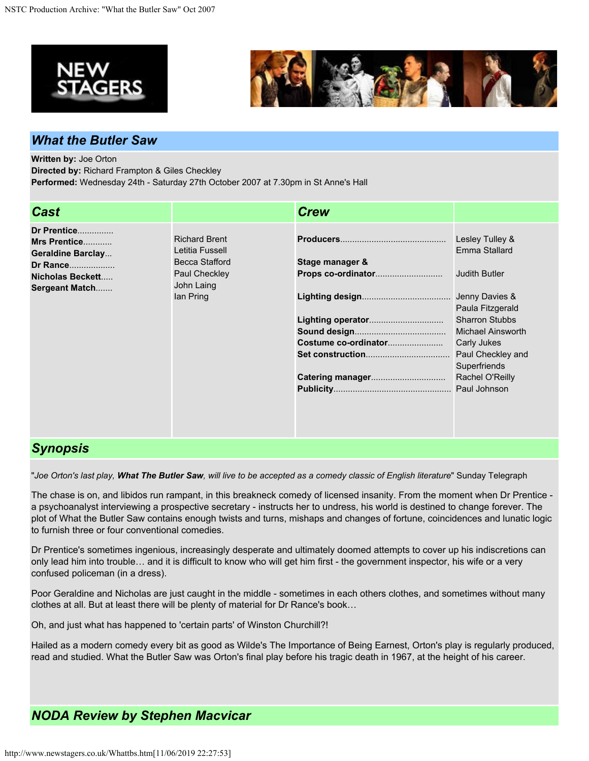



## *What the Butler Saw*

**Written by:** Joe Orton

**Directed by:** Richard Frampton & Giles Checkley

**Performed:** Wednesday 24th - Saturday 27th October 2007 at 7.30pm in St Anne's Hall

| <b>Cast</b>                                                                                                      |                                                                                                       | <b>Crew</b>          |                                    |
|------------------------------------------------------------------------------------------------------------------|-------------------------------------------------------------------------------------------------------|----------------------|------------------------------------|
| Dr Prentice<br>Mrs Prentice<br><b>Geraldine Barclay</b><br>Dr Rance<br>Nicholas Beckett<br><b>Sergeant Match</b> | <b>Richard Brent</b><br>Letitia Fussell<br>Becca Stafford<br>Paul Checkley<br>John Laing<br>lan Pring |                      | Lesley Tulley &<br>Emma Stallard   |
|                                                                                                                  |                                                                                                       | Stage manager &      | <b>Judith Butler</b>               |
|                                                                                                                  |                                                                                                       |                      | Jenny Davies &<br>Paula Fitzgerald |
|                                                                                                                  |                                                                                                       |                      | <b>Sharron Stubbs</b>              |
|                                                                                                                  |                                                                                                       |                      | <b>Michael Ainsworth</b>           |
|                                                                                                                  |                                                                                                       | Costume co-ordinator | Carly Jukes                        |
|                                                                                                                  |                                                                                                       |                      | Paul Checkley and<br>Superfriends  |
|                                                                                                                  |                                                                                                       |                      | Rachel O'Reilly                    |
|                                                                                                                  |                                                                                                       |                      |                                    |
|                                                                                                                  |                                                                                                       |                      |                                    |

## *Synopsis*

"*Joe Orton's last play, What The Butler Saw, will live to be accepted as a comedy classic of English literature*" Sunday Telegraph

The chase is on, and libidos run rampant, in this breakneck comedy of licensed insanity. From the moment when Dr Prentice a psychoanalyst interviewing a prospective secretary - instructs her to undress, his world is destined to change forever. The plot of What the Butler Saw contains enough twists and turns, mishaps and changes of fortune, coincidences and lunatic logic to furnish three or four conventional comedies.

Dr Prentice's sometimes ingenious, increasingly desperate and ultimately doomed attempts to cover up his indiscretions can only lead him into trouble… and it is difficult to know who will get him first - the government inspector, his wife or a very confused policeman (in a dress).

Poor Geraldine and Nicholas are just caught in the middle - sometimes in each others clothes, and sometimes without many clothes at all. But at least there will be plenty of material for Dr Rance's book…

Oh, and just what has happened to 'certain parts' of Winston Churchill?!

Hailed as a modern comedy every bit as good as Wilde's The Importance of Being Earnest, Orton's play is regularly produced, read and studied. What the Butler Saw was Orton's final play before his tragic death in 1967, at the height of his career.

## *NODA Review by Stephen Macvicar*